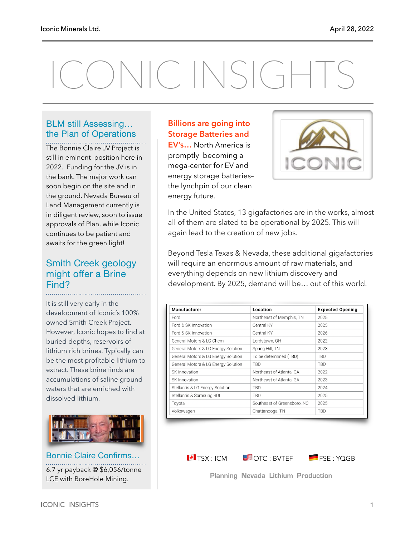# ONIC INSIGHTS

#### BLM still Assessing… the Plan of Operations

The Bonnie Claire JV Project is still in eminent position here in 2022. Funding for the JV is in the bank. The major work can soon begin on the site and in the ground. Nevada Bureau of Land Management currently is in diligent review, soon to issue approvals of Plan, while Iconic continues to be patient and awaits for the green light!

#### Smith Creek geology might offer a Brine Find?

It is still very early in the development of Iconic's 100% owned Smith Creek Project. However, Iconic hopes to find at buried depths, reservoirs of lithium rich brines. Typically can be the most profitable lithium to extract. These brine finds are accumulations of saline ground waters that are enriched with dissolved lithium.



Bonnie Claire Confirms… 6.7 yr payback @ \$6,056/tonne LCE with BoreHole Mining.

#### **Billions are going into Storage Batteries and**

**EV's…** North America is promptly becoming a mega-center for EV and energy storage batteries– the lynchpin of our clean energy future.



In the United States, 13 gigafactories are in the works, almost all of them are slated to be operational by 2025. This will again lead to the creation of new jobs.

Beyond Tesla Texas & Nevada, these additional gigafactories will require an enormous amount of raw materials, and everything depends on new lithium discovery and development. By 2025, demand will be… out of this world.

| Location                    | <b>Expected Opening</b> |
|-----------------------------|-------------------------|
| Northeast of Memphis, TN    | 2025                    |
| Central KY                  | 2025                    |
| Central KY                  | 2026                    |
| Lordstown. OH               | 2022                    |
| Spring Hill, TN             | 2023                    |
| To be determined (TBD)      | <b>TBD</b>              |
| <b>TBD</b>                  | <b>TBD</b>              |
| Northeast of Atlanta, GA    | 2022                    |
| Northeast of Atlanta, GA    | 2023                    |
| TBD                         | 2024                    |
| <b>TBD</b>                  | 2025                    |
| Southeast of Greensboro, NC | 2025                    |
| Chattanooga, TN             | <b>TBD</b>              |
|                             |                         |

 $\blacksquare$  TSX : ICM  $\blacksquare$  OTC : BVTEF  $\blacksquare$  FSE : YQGB

**Planning Nevada Lithium Production**